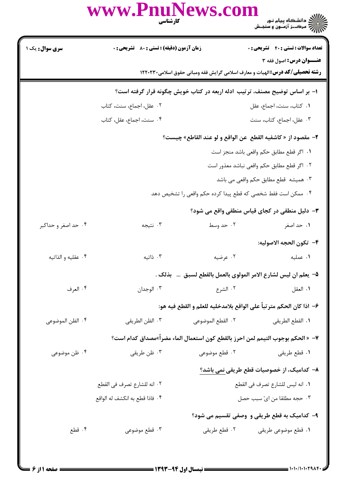|                        | www.PnuNews.com<br><b>کارشناسی</b>                 | الاري دانشگاه پيام نور<br>۱۳۸۷ مرکــز آزمـون و سنجـش                                |
|------------------------|----------------------------------------------------|-------------------------------------------------------------------------------------|
| <b>سری سوال :</b> یک ۱ | <b>زمان آزمون (دقیقه) : تستی : 80 ٪ تشریحی : 0</b> | <b>تعداد سوالات : تستی : 40 - تشریحی : 0</b>                                        |
|                        |                                                    | عنــوان درس: اصول فقه ۳                                                             |
|                        |                                                    | <b>رشته تحصیلی/کد درس:</b> الهیات و معارف اسلامی گرایش فقه ومبانی حقوق اسلامی۲۲۰۲۳۰ |

|                     |                          | ۱– بر اساس توضیح مصنف، ترتیب ادله اربعه در کتاب خویش چگونه قرار گرفته است؟ |                                           |
|---------------------|--------------------------|----------------------------------------------------------------------------|-------------------------------------------|
|                     | ٠٢ عقل، اجماع، سنت، كتاب |                                                                            | ٠١ كتاب، سنت، اجماع، عقل                  |
|                     | ۰۴ سنت، اجماع، عقل، كتاب |                                                                            | ۰۳ عقل، اجماع، کتاب، سنت                  |
|                     |                          | ٢- مقصود از « كاشفيه القطع  عن الواقع و لو عند القاطع» چيست؟               |                                           |
|                     |                          |                                                                            | ٠١. اگر قطع مطابق حكم واقعى باشد منجز است |
|                     |                          | ٠٢ اگر قطع مطابق حكم واقعي نباشد معذور است                                 |                                           |
|                     |                          |                                                                            | ۰۳ همیشه قطع مطابق حکم واقعی می باشد      |
|                     |                          | ۰۴ ممکن است فقط شخصی که قطع پیدا کرده حکم واقعی را تشخیص دهد               |                                           |
|                     |                          | ۳- دلیل منطقی در کجای قیاس منطقی واقع می شود؟                              |                                           |
| ۰۴ حد اصغر و حداکبر | ۰۳ نتيجه                 | ۰۲ حد وسط                                                                  | ١. حد اصغر                                |

## ۴– تكون الحجه الاصوليه: ۰۲ عرضیه ۰۳ ذاتیه ۰۴ عقلیه و الذاتیه ۰۱ عملیه 4- يعلم ان ليس لشارع الامر المولوي بالعمل بالقطع لسبق … بذلك .

| ۰۴ العرف | ۰۳ الوجدان | ۰۲ الشرع                                                             | ٠١. العقل |
|----------|------------|----------------------------------------------------------------------|-----------|
|          |            | ۶– اذا كان الحكم متر تباً على الواقع بلامدخليه للعلم و القطع فيه هو: |           |

۰۴ الظن الموضوعي ٢. القطع الموضوعي ۰۳ الظن الطريقي ٠١ القطع الطريقي

٧– « الحكم بوجوب التيمم لمن احرز بالقطع كون استعمال الماء مضراً»مصداق كدام است؟

- ۰۴ ظن موضوعی ۰۳ ظن طريقي ۲. قطع موضوعی **۱.** قطع طريقي ٨− كداميك، از خصوصيات قطع طريقي نمي باشد؟ ٢. انه للشارع تصرف في القطع ٠١. انه ليس للشارع تصرف في القطع ۴. فاذا قطع به انكشف له الواقع ۰۳ حجه مطلقا من ایّ سبب حصل ۹- کدامیک به قطع طریقی و وصفی تقسیم می شود؟
	- ٠١ قطع موضوعي طريقي مسمع ٢٠ قطع طريقي ۰۳ قطع موضوعی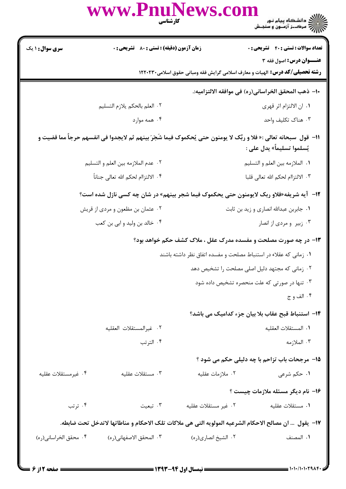|                                                                 | www.PnuNews.com<br>كارشناسي                                                                                         |                                                                  | /// دانشکاه پیام نور<br>///// مرکــز آزمــون و سنجـش                                                           |  |  |
|-----------------------------------------------------------------|---------------------------------------------------------------------------------------------------------------------|------------------------------------------------------------------|----------------------------------------------------------------------------------------------------------------|--|--|
| <b>سری سوال : ۱ یک</b>                                          | <b>زمان آزمون (دقیقه) : تستی : 80 ٪ تشریحی : 0</b>                                                                  |                                                                  | <b>تعداد سوالات : تستي : 40 - تشريحي : 0</b>                                                                   |  |  |
|                                                                 |                                                                                                                     |                                                                  | عنــوان درس: اصول فقه ۳<br><b>رشته تحصیلی/کد درس:</b> الهیات و معارف اسلامی گرایش فقه ومبانی حقوق اسلامی۲۲۰۲۳۰ |  |  |
|                                                                 | ∙ا− ذهب المحقق الخراساني(ره) في موافقه الالتزاميه:.                                                                 |                                                                  |                                                                                                                |  |  |
|                                                                 | ٢. العلم بالحكم يلازم التسليم                                                                                       |                                                                  | ٠١. ان الالتزام اثر قهرى                                                                                       |  |  |
|                                                                 | ۰۴ همه موارد                                                                                                        |                                                                  | ۰۳ هناک تکلیف واحد                                                                                             |  |  |
|                                                                 | 11−  قول  سبحانه تعالى :« فلا و ربِّک لا يومنون حتى يُحكموک فيما شَجَرَ بينهم ثم لايجدوا في انفسهم حرجاً مما قضيت و |                                                                  | يُسلموا تسليماً» يدل على :                                                                                     |  |  |
|                                                                 | ٠٢ عدم الملازمه بين العلم و التسليم                                                                                 |                                                                  | ٠١. الملازمه بين العلم و التسليم                                                                               |  |  |
|                                                                 | ۴. الالتزاام لحكم الله تعالى جناناً                                                                                 |                                                                  | ٠٣ الالتزاام لحكم الله تعالى قلبا                                                                              |  |  |
|                                                                 | ۱۲- آیه شریفه«فلاو ربک لایومنون حتی یحکموک فیما شجر بینهم» در شان چه کسی نازل شده است؟                              |                                                                  |                                                                                                                |  |  |
|                                                                 | ۰۲ عثمان بن مظعون و مردي از قريش                                                                                    |                                                                  | ۰۱ جابربن عبدالله انصاری و زید بن ثابت                                                                         |  |  |
|                                                                 | ۰۴ خالد بن وليد و ابي بن كعب                                                                                        |                                                                  | ۰۳ زبیر و مردی از انصار                                                                                        |  |  |
| ۱۳- در چه صورت مصلحت و مفسده مدرک عقل ، ملاک کشف حکم خواهد بود؟ |                                                                                                                     |                                                                  |                                                                                                                |  |  |
|                                                                 |                                                                                                                     | ۰۱ زمانی که عقلاء در استنباط مصلحت و مفسده اتفاق نظر داشته باشند |                                                                                                                |  |  |
|                                                                 |                                                                                                                     |                                                                  | ۰۲ زمانی که مجتهد دلیل اصلی مصلحت را تشخیص دهد                                                                 |  |  |
|                                                                 |                                                                                                                     |                                                                  | ۰۳ تنها در صورتی که علت منحصره تشخیص داده شود                                                                  |  |  |
|                                                                 |                                                                                                                     |                                                                  | ۰۴ الف و ج                                                                                                     |  |  |
|                                                                 |                                                                                                                     |                                                                  | ۱۴– استنباط قبح عقاب بلا بیان جزء کدامیک می باشد؟                                                              |  |  |
|                                                                 | ٢. غيرالمستقلات العقليه                                                                                             |                                                                  | ٠١. المستقلات العقليه                                                                                          |  |  |
|                                                                 | ۰۴ الترتب                                                                                                           |                                                                  | ۰۳ الملازمه                                                                                                    |  |  |
|                                                                 |                                                                                                                     |                                                                  | <b>۱۵- مرجحات باب تزاحم با چه دلیلی حکم می شود</b> ؟                                                           |  |  |
| ۰۴ غیرمستقلات عقلیه                                             | ۰۳ مستقلات عقلیه                                                                                                    | ۰۲ ملازمات عقلیه                                                 | ۱. حکم شرعی                                                                                                    |  |  |
|                                                                 |                                                                                                                     |                                                                  | ۱۶- نام دیگر مسئله ملازمات چیست ؟                                                                              |  |  |
| ۰۴ ترتب                                                         | ۰۳ تبعیت                                                                                                            | ٠٢ غير مستقلات عقليه                                             | ٠١ مستقلات عقليه                                                                                               |  |  |
|                                                                 | IY−  يقول  … ان مصالح الاحكام الشرعيه المولويه التي هي ملاكات تلك الاحكام و مناطاتها لاتدخل تحت ضابطه.              |                                                                  |                                                                                                                |  |  |
| ۰۴ محقق الخراساني(ره)                                           | ٠٣ المحقق الاصفهاني(ره)                                                                                             | ۰۲ الشيخ انصاري(ره)                                              | ٠١. المصنف                                                                                                     |  |  |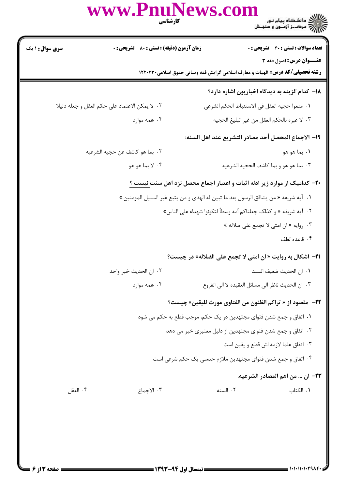|                        | www.PnuNews.com<br>كارشناسي                                                             |                                                                                     | ))<br>)))))) دانشگاه پیام نور<br>)))))                                  |  |  |
|------------------------|-----------------------------------------------------------------------------------------|-------------------------------------------------------------------------------------|-------------------------------------------------------------------------|--|--|
| <b>سری سوال : ۱ یک</b> | <b>زمان آزمون (دقیقه) : تستی : 80 ٪ تشریحی : 0</b>                                      | <b>رشته تحصیلی/کد درس:</b> الهیات و معارف اسلامی گرایش فقه ومبانی حقوق اسلامی۲۲۰۲۳۰ | <b>تعداد سوالات : تستي : 40 - تشريحي : 0</b><br>عنــوان درس: اصول فقه ٣ |  |  |
|                        |                                                                                         |                                                                                     | ۱۸– کدام گزینه به دیدگاه اخباریون اشاره دارد؟                           |  |  |
|                        | ٠٢ لا يمكن الاعتماد على حكم العقل و جعله دليلا                                          | ٠١. منعوا حجيه العقل في الاستنباط الحكم الشرعي                                      |                                                                         |  |  |
|                        | ۰۴ همه موارد                                                                            | ٣. لا عبره بالحكم العقل من غير تبليغ الحجيه                                         |                                                                         |  |  |
|                        |                                                                                         | ١٩– الاجماع المحصل أحد مصادر التشريع عند اهل السنه:                                 |                                                                         |  |  |
|                        | ٢.  بما هو كاشف عن حجيه الشرعيه                                                         |                                                                                     | ٠١. بما هو هو                                                           |  |  |
|                        | ۰۴ لا بما هو هو                                                                         |                                                                                     | ٠٣ بما هو هو و بما كاشف الحجيه الشرعيه                                  |  |  |
|                        | <b>-۲-</b> کدامیک از موارد زیر ادله اثبات و اعتبار اجماع محصل نزد اهل سنت <u>نیست ؟</u> |                                                                                     |                                                                         |  |  |
|                        | ١.   آيه شريفه « من يشاقق الرسول بعد ما تبين له الهدى و من يتبع غير السبيل المومنين.»   |                                                                                     |                                                                         |  |  |
|                        | ٠٢   آيه شريفه « و كذلك جعلناكم أمه وسطاً لتكونوا شهداء على الناس»                      |                                                                                     |                                                                         |  |  |
|                        |                                                                                         |                                                                                     | ۰۳ روايه « ان امتى لا تجمع على ضلاله »                                  |  |  |
|                        |                                                                                         |                                                                                     | ۰۴ قاعده لطف                                                            |  |  |
|                        |                                                                                         | 21- اشكال به روايت « ان امتى لا تجمع على الضلاله» در چيست؟                          |                                                                         |  |  |
|                        | ٢. ان الحديث خبر واحد                                                                   |                                                                                     | ٠١. ان الحديث ضعيف السند                                                |  |  |
|                        | ۰۴ همه موارد                                                                            | ٠٣ ان الحديث ناظر الى مسائل العقيده لا الى الفروع                                   |                                                                         |  |  |
|                        |                                                                                         | <b>٢٢</b> - مقصود از « تراكم الظنون من الفتاوى مورث لليقين» چيست؟                   |                                                                         |  |  |
|                        |                                                                                         | ١. اتفاق و جمع شدن فتواي مجتهدين در يک حکم، موجب قطع به حکم مي شود                  |                                                                         |  |  |
|                        |                                                                                         | ۰۲ اتفاق و جمع شدن فتوای مجتهدین از دلیل معتبری خبر می دهد                          |                                                                         |  |  |
|                        |                                                                                         |                                                                                     | ٠٣ اتفاق علما لازمه اش قطع ويقين است                                    |  |  |
|                        |                                                                                         | ۰۴ اتفاق و جمع شدن فتوای مجتهدین ملازم حدسی یک حکم شرعی است                         |                                                                         |  |  |
|                        |                                                                                         |                                                                                     | ٢٣- ان  من اهم المصادر الشرعيه.                                         |  |  |
| ۰۴ العقل               | ۰۳ الاجماع                                                                              | ٠٢ السنه                                                                            | ۰۱ الکتاب                                                               |  |  |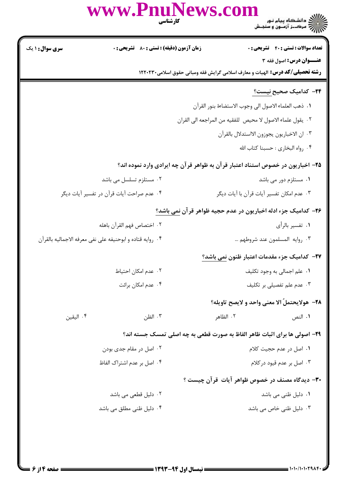|                        | www.PnuNews.com                                           | كارشناسي  | )<br>))<br>))) = مرک_ز آزمـون و سنجـش                                                                           |
|------------------------|-----------------------------------------------------------|-----------|-----------------------------------------------------------------------------------------------------------------|
| <b>سری سوال : ۱ یک</b> | زمان آزمون (دقیقه) : تستی : 80 ٪ تشریحی : 0               |           | <b>تعداد سوالات : تستي : 40 - تشريحي : 0</b>                                                                    |
|                        |                                                           |           | عنــوان درس: اصول فقه ٣<br><b>رشته تحصیلی/کد درس:</b> الهیات و معارف اسلامی گرایش فقه ومبانی حقوق اسلامی۱۲۲۰۲۳۰ |
|                        |                                                           |           | <del>۲</del> ۴– کدامیک صحیح <u>نیست؟</u>                                                                        |
|                        |                                                           |           | ٠١. ذهب العلماء الاصول الى وجوب الاستضاءة بنور القرآن                                                           |
|                        |                                                           |           | ٢. يقول علماء الاصول لا محيص للفقيه من المراجعه الى القران                                                      |
|                        |                                                           |           | ٠٣ ان الاخباريون يجوزون الااستدلال بالقرآن                                                                      |
|                        |                                                           |           | ۰۴ رواه البخاري : حسبنا كتاب الله                                                                               |
|                        |                                                           |           | ۲۵– اخباریون در خصوص استناد اعتبار قرآن به ظواهر قرآن چه ایرادی وارد نموده اند؟                                 |
|                        | ۰۲ مستلزم تسلسل می باشد                                   |           | ۰۱ مستلزم دور می باشد                                                                                           |
|                        | ۰۴ عدم صراحت آيات قرآن در تفسير آيات ديگر                 |           | ۰۳ عدم امکان تفسیر آیات قرآن با آیات دیگر                                                                       |
|                        |                                                           |           | <b>۳۶</b> – کدامیک جزء ادله اخباریون در عدم حجیه ظواهر قرآن <u>ن</u> می باشد؟                                   |
|                        | ٢. اختصاص فهم القرآن باهله                                |           | ۰۱ تفسیر بالرأی                                                                                                 |
|                        | ۰۴ روايه قتاده و ابوحنيفه على نفي معرفه الاجماليه بالقرآن |           | ٠٣ روايه المسلمون عند شروطهم                                                                                    |
|                        |                                                           |           | <b>۲۷</b> – کدامیک جزء مقدمات اعتبار ظنون نمی باشد؟                                                             |
|                        | ٠٢ عدم امكان احتياط                                       |           | ٠١. علم اجمالي به وجود تكليف                                                                                    |
|                        | ۰۴ عدم امکان برائت                                        |           | ۰۳ عدم علم تفصیلی بر تکلیف                                                                                      |
|                        |                                                           |           | ٢٨- هولايحتملَ الا معنى واحد و لايصح تاويله؟                                                                    |
| ۰۴ اليقين              | ۰۳ الظن                                                   | ٢. الظاهر | ۰۱ النص                                                                                                         |
|                        |                                                           |           | ۲۹- اصولی ها برای اثبات ظاهر الفاظ به صورت قطعی به چه اصلی تمسک جسته اند؟                                       |
|                        | ۰۲ اصل در مقام جدی بودن                                   |           | ۰۱ اصل در عدم حجیت کلام                                                                                         |
|                        | ۰۴ اصل بر عدم اشتراک الفاظ                                |           | ۰۳ اصل بر عدم قیود در کلام                                                                                      |
|                        |                                                           |           | ۳۰– دیدگاه مصنف در خصوص ظواهر آیات قرآن چیست ؟                                                                  |
|                        | ۰۲ دلیل قطعی می باشد                                      |           | ۰۱ دلیل ظنی می باشد                                                                                             |
|                        | ۰۴ دلیل ظنی مطلق می باشد                                  |           | ۰۳ دلیل ظنی خاص می باشد                                                                                         |
|                        |                                                           |           |                                                                                                                 |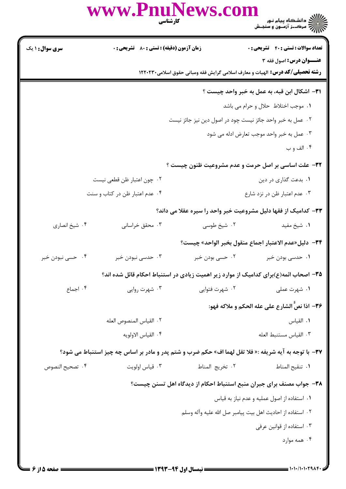|                        | www.PnuNews.com                             | كارشناسي                                                   | ے :<br>حکالات دانشگاہ پیام نور<br>حکالات مرکــز آزمـون و سنجـش                                                 |
|------------------------|---------------------------------------------|------------------------------------------------------------|----------------------------------------------------------------------------------------------------------------|
| <b>سری سوال : ۱ یک</b> | زمان آزمون (دقیقه) : تستی : 80 ٪ تشریحی : 0 |                                                            | <b>تعداد سوالات : تستی : 40 - تشریحی : .</b>                                                                   |
|                        |                                             |                                                            | عنــوان درس: اصول فقه ۳<br><b>رشته تحصیلی/گد درس:</b> الهیات و معارف اسلامی گرایش فقه ومبانی حقوق اسلامی۲۲۰۲۳۰ |
|                        |                                             |                                                            | ٣١- اشكال ابن قبه، به عمل به خبر واحد چيست ؟                                                                   |
|                        |                                             |                                                            | ٠١. موجب اختلاط حلال و حرام مي باشد                                                                            |
|                        |                                             | ۰۲ عمل به خبر واحد جائز نیست چود در اصول دین نیز جائز نیست |                                                                                                                |
|                        |                                             |                                                            | ۰۳ عمل به خبر واحد موجب تعارض ادله می شود                                                                      |
|                        |                                             |                                                            | ۰۴ الف و ب                                                                                                     |
|                        |                                             |                                                            | ۳۲- علت اساسی بر اصل حرمت و عدم مشروعیت ظنون چیست ؟                                                            |
|                        | ۰۲ چون اعتبار ظن قطعی نیست                  |                                                            | ۰۱ بدعت گذاری در دین                                                                                           |
|                        | ۰۴ عدم اعتبار ظن در کتاب و سنت              |                                                            | ۰۳ عدم اعتبار ظن در نزد شارع                                                                                   |
|                        |                                             |                                                            | ۳۳– کدامیک از فقها دلیل مشروعیت خبر واحد را سیره عقلا می داند؟                                                 |
| ۰۴ شیخ انصاری          | ۰۳ محقق خراسانی                             | ۰۲ شیخ طوسی                                                | ٠١ شيخ مفيد                                                                                                    |
|                        |                                             |                                                            | ٣۴− دليل«عدم الاعتبار اجماع منقول بخبر الواحد» چيست؟                                                           |
| ۰۴ حسی نبودن خبر       | ۰۳ حدسی نبودن خبر                           | ۰۲ حسی بودن خبر                                            | ۰ <b>۱</b> حدسی بودن خبر                                                                                       |
|                        |                                             |                                                            | ۳۵– اصحاب ائمه(ع)برای کدامیک از موارد زیر اهمیت زیادی در استنباط احکام قائل شده اند؟                           |
| ۰۴ اجماع               | ۰۳ شهرت روایی                               | ۰۲ شهرت فتوايي                                             | ۰۱ شهرت عملی                                                                                                   |
|                        |                                             |                                                            | ٣۶- اذا نصَّ الشارع على عله الحكم و ملاكه فهو:                                                                 |
|                        | ٢. القياس المنصوص العله                     |                                                            | ٠١. القياس                                                                                                     |
|                        | ۴. القياس الاولويه                          |                                                            | ٠٣ القياس مستنبط العله                                                                                         |
|                        |                                             |                                                            | 37- با توجه به آیه شریفه :« فلا تقل لهما اف» حکم ضرب و شتم پدر و مادر بر اساس چه چیز استنباط می شود؟           |
| ۰۴ تصحيح النصوص        | ۰۳ قياس اولويت                              | ٢. تخريج المناط                                            | ٠١. تنقيح المناط                                                                                               |
|                        |                                             |                                                            | ۳۸- جواب مصنف برای جبران منبع استنباط احکام از دیدگاه اهل تسنن چیست؟                                           |
|                        |                                             |                                                            | ۰۱ استفاده از اصول عملیه و عدم نیاز به قیاس                                                                    |
|                        |                                             |                                                            | ٢٠. استفاده از احاديث اهل بيت پيامبر صل الله عليه وآله وسلم                                                    |
|                        |                                             |                                                            | ۰۳ استفاده از قوانین عرفی                                                                                      |
|                        |                                             |                                                            | ۰۴ همه موارد                                                                                                   |